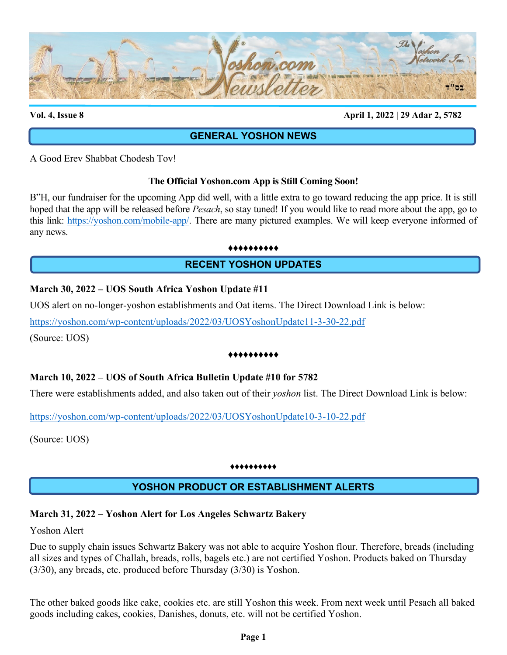

**Vol. 4, Issue 8 April 1, 2022 | 29 Adar 2, 5782**

## **GENERAL YOSHON NEWS**

A Good Erev Shabbat Chodesh Tov!

### **The Official Yoshon.com App is Still Coming Soon!**

B"H, our fundraiser for the upcoming App did well, with a little extra to go toward reducing the app price. It is still hoped that the app will be released before *Pesach*, so stay tuned! If you would like to read more about the app, go to this link: [https://yoshon.com/mobile-app/.](https://yoshon.com/mobile-app/) There are many pictured examples. We will keep everyone informed of any news.

♦♦♦♦♦♦♦♦♦♦

## **RECENT YOSHON UPDATES**

### **March 30, 2022 – UOS South Africa Yoshon Update #11**

UOS alert on no-longer-yoshon establishments and Oat items. The Direct Download Link is below:

<https://yoshon.com/wp-content/uploads/2022/03/UOSYoshonUpdate11-3-30-22.pdf>

(Source: UOS)

#### ♦♦♦♦♦♦♦♦♦♦

## **March 10, 2022 – UOS of South Africa Bulletin Update #10 for 5782**

There were establishments added, and also taken out of their *yoshon* list. The Direct Download Link is below:

<https://yoshon.com/wp-content/uploads/2022/03/UOSYoshonUpdate10-3-10-22.pdf>

(Source: UOS)

#### ♦♦♦♦♦♦♦♦♦♦

# **YOSHON PRODUCT OR ESTABLISHMENT ALERTS**

## **March 31, 2022 – Yoshon Alert for Los Angeles Schwartz Bakery**

Yoshon Alert

Due to supply chain issues Schwartz Bakery was not able to acquire Yoshon flour. Therefore, breads (including all sizes and types of Challah, breads, rolls, bagels etc.) are not certified Yoshon. Products baked on Thursday (3/30), any breads, etc. produced before Thursday (3/30) is Yoshon.

The other baked goods like cake, cookies etc. are still Yoshon this week. From next week until Pesach all baked goods including cakes, cookies, Danishes, donuts, etc. will not be certified Yoshon.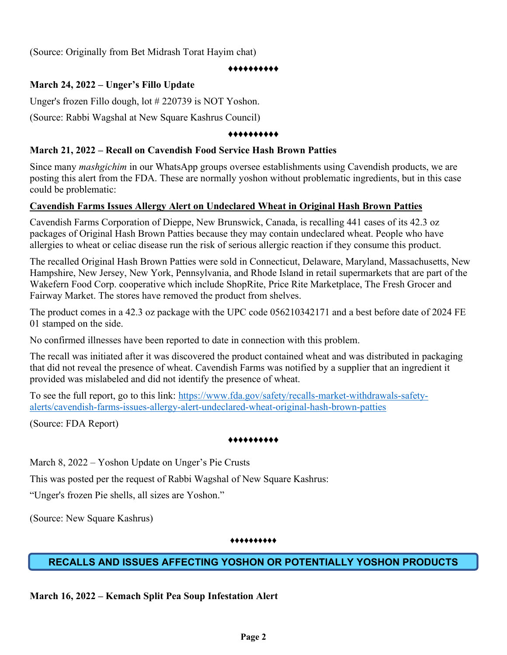(Source: Originally from Bet Midrash Torat Hayim chat)

#### ♦♦♦♦♦♦♦♦♦♦

## **March 24, 2022 – Unger's Fillo Update**

Unger's frozen Fillo dough, lot # 220739 is NOT Yoshon.

(Source: Rabbi Wagshal at New Square Kashrus Council)

#### ♦♦♦♦♦♦♦♦♦♦

### **March 21, 2022 – Recall on Cavendish Food Service Hash Brown Patties**

Since many *mashgichim* in our WhatsApp groups oversee establishments using Cavendish products, we are posting this alert from the FDA. These are normally yoshon without problematic ingredients, but in this case could be problematic:

### **Cavendish Farms Issues Allergy Alert on Undeclared Wheat in Original Hash Brown Patties**

Cavendish Farms Corporation of Dieppe, New Brunswick, Canada, is recalling 441 cases of its 42.3 oz packages of Original Hash Brown Patties because they may contain undeclared wheat. People who have allergies to wheat or celiac disease run the risk of serious allergic reaction if they consume this product.

The recalled Original Hash Brown Patties were sold in Connecticut, Delaware, Maryland, Massachusetts, New Hampshire, New Jersey, New York, Pennsylvania, and Rhode Island in retail supermarkets that are part of the Wakefern Food Corp. cooperative which include ShopRite, Price Rite Marketplace, The Fresh Grocer and Fairway Market. The stores have removed the product from shelves.

The product comes in a 42.3 oz package with the UPC code 056210342171 and a best before date of 2024 FE 01 stamped on the side.

No confirmed illnesses have been reported to date in connection with this problem.

The recall was initiated after it was discovered the product contained wheat and was distributed in packaging that did not reveal the presence of wheat. Cavendish Farms was notified by a supplier that an ingredient it provided was mislabeled and did not identify the presence of wheat.

To see the full report, go to this link: [https://www.fda.gov/safety/recalls-market-withdrawals-safety](https://www.fda.gov/safety/recalls-market-withdrawals-safety-alerts/cavendish-farms-issues-allergy-alert-undeclared-wheat-original-hash-brown-patties)[alerts/cavendish-farms-issues-allergy-alert-undeclared-wheat-original-hash-brown-patties](https://www.fda.gov/safety/recalls-market-withdrawals-safety-alerts/cavendish-farms-issues-allergy-alert-undeclared-wheat-original-hash-brown-patties)

(Source: FDA Report)

### ♦♦♦♦♦♦♦♦♦♦

March 8, 2022 – Yoshon Update on Unger's Pie Crusts

This was posted per the request of Rabbi Wagshal of New Square Kashrus:

"Unger's frozen Pie shells, all sizes are Yoshon."

(Source: New Square Kashrus)

#### ♦♦♦♦♦♦♦♦♦♦

# **RECALLS AND ISSUES AFFECTING YOSHON OR POTENTIALLY YOSHON PRODUCTS**

**March 16, 2022 – Kemach Split Pea Soup Infestation Alert**